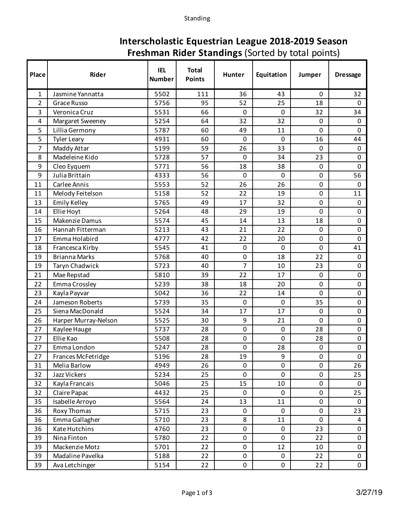Standing

## **Interscholastic Equestrian League 2018-2019 Season Freshman Rider Standings** (Sorted by total points)

| Place          | Rider                | <b>IEL</b><br><b>Number</b> | <b>Total</b><br><b>Points</b> | Hunter           | Equitation | Jumper      | <b>Dressage</b> |
|----------------|----------------------|-----------------------------|-------------------------------|------------------|------------|-------------|-----------------|
| 1              | Jasmine Yannatta     | 5502                        | 111                           | 36               | 43         | $\Omega$    | 32              |
| $\overline{2}$ | Grace Russo          | 5756                        | 95                            | 52               | 25         | 18          | $\mathbf 0$     |
| 3              | Veronica Cruz        | 5531                        | 66                            | $\mathbf 0$      | 0          | 32          | 34              |
| 4              | Margaret Sweeney     | 5254                        | 64                            | 32               | 32         | $\mathbf 0$ | $\mathbf 0$     |
| 5              | Lillia Germony       | 5787                        | 60                            | 49               | 11         | 0           | 0               |
| 5              | <b>Tyler Leary</b>   | 4931                        | 60                            | $\overline{0}$   | 0          | 16          | 44              |
| $\overline{7}$ | Maddy Attar          | 5199                        | 59                            | 26               | 33         | $\mathbf 0$ | $\mathbf 0$     |
| 8              | Madeleine Kido       | 5728                        | 57                            | $\Omega$         | 34         | 23          | 0               |
| 9              | Cleo Eyquem          | 5771                        | 56                            | 18               | 38         | $\mathbf 0$ | 0               |
| 9              | Julia Brittain       | 4333                        | 56                            | $\mathbf 0$      | 0          | $\mathbf 0$ | 56              |
| 11             | Carlee Annis         | 5553                        | 52                            | 26               | 26         | $\pmb{0}$   | $\mathbf 0$     |
| 11             | Melody Feitelson     | 5158                        | 52                            | 22               | 19         | $\mathbf 0$ | 11              |
| 13             | Emily Kelley         | 5765                        | 49                            | 17               | 32         | $\mathbf 0$ | $\mathbf 0$     |
| 14             | Ellie Hoyt           | 5264                        | 48                            | 29               | 19         | 0           | 0               |
| 15             | Makenzie Damus       | 5574                        | 45                            | 14               | 13         | 18          | 0               |
| 16             | Hannah Fitterman     | 5213                        | 43                            | 21               | 22         | $\mathbf 0$ | 0               |
| 17             | Emma Holabird        | 4777                        | 42                            | 22               | 20         | $\mathbf 0$ | 0               |
| 18             | Francesca Kirby      | 5545                        | 41                            | $\mathbf 0$      | 0          | 0           | 41              |
| 19             | <b>Brianna Marks</b> | 5768                        | 40                            | 0                | 18         | 22          | $\mathbf 0$     |
| 19             | Taryn Chadwick       | 5723                        | 40                            | 7                | 10         | 23          | 0               |
| 21             | Mae Repstad          | 5810                        | 39                            | 22               | 17         | $\mathbf 0$ | 0               |
| 22             | Emma Crossley        | 5239                        | 38                            | 18               | 20         | $\mathbf 0$ | 0               |
| 23             | Kayla Payvar         | 5042                        | 36                            | 22               | 14         | 0           | 0               |
| 24             | Jameson Roberts      | 5739                        | 35                            | $\mathbf 0$      | 0          | 35          | 0               |
| 25             | Siena MacDonald      | 5524                        | 34                            | 17               | 17         | $\mathbf 0$ | 0               |
| 26             | Harper Murray-Nelson | 5525                        | 30                            | 9                | 21         | 0           | 0               |
| 27             | Kaylee Hauge         | 5737                        | 28                            | $\mathbf 0$      | 0          | 28          | 0               |
| 27             | Ellie Kao            | 5508                        | 28                            | $\boldsymbol{0}$ | 0          | 28          | 0               |
| 27             | Emma London          | 5247                        | 28                            | 0                | 28         | 0           | 0               |
| 27             | Frances McFetridge   | 5196                        | 28                            | 19               | 9          | $\mathbf 0$ | $\mathsf{O}$    |
| 31             | Melia Barlow         | 4949                        | 26                            | 0                | 0          | $\mathbf 0$ | 26              |
| 32             | Jazz Vickers         | 5234                        | 25                            | 0                | 0          | $\pmb{0}$   | 25              |
| 32             | Kayla Francais       | 5046                        | 25                            | 15               | 10         | $\pmb{0}$   | $\mathsf{O}$    |
| 32             | Claire Papac         | 4432                        | 25                            | $\mathbf 0$      | 0          | $\mathbf 0$ | 25              |
| 35             | Isabelle Arroyo      | 5564                        | 24                            | 13               | 11         | $\pmb{0}$   | $\mathbf 0$     |
| 36             | Roxy Thomas          | 5715                        | 23                            | $\mathbf 0$      | 0          | $\mathbf 0$ | 23              |
| 36             | Emma Gallagher       | 5710                        | 23                            | 8                | 11         | $\mathbf 0$ | 4               |
| 36             | Kate Hutchins        | 4760                        | 23                            | 0                | 0          | 23          | 0               |
| 39             | Nina Finton          | 5780                        | 22                            | 0                | 0          | 22          | 0               |
| 39             | Mackenzie Motz       | 5701                        | 22                            | $\mathbf 0$      | 12         | 10          | 0               |
| 39             | Madaline Pavelka     | 5188                        | 22                            | 0                | 0          | 22          | 0               |
| 39             | Ava Letchinger       | 5154                        | 22                            | 0                | 0          | 22          | $\mathbf 0$     |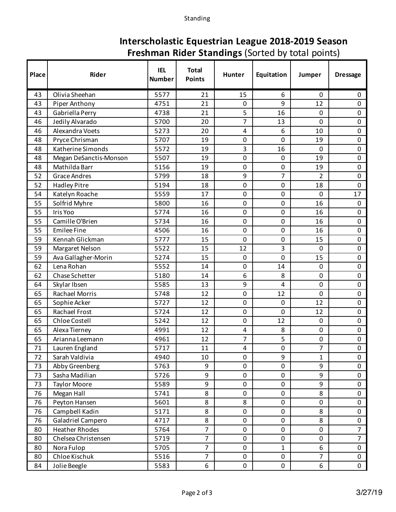Standing

## **Interscholastic Equestrian League 2018-2019 Season Freshman Rider Standings** (Sorted by total points)

| Place | Rider                  | <b>IEL</b><br><b>Number</b> | <b>Total</b><br><b>Points</b> | Hunter         | Equitation   | Jumper         | <b>Dressage</b> |
|-------|------------------------|-----------------------------|-------------------------------|----------------|--------------|----------------|-----------------|
| 43    | Olivia Sheehan         | 5577                        | 21                            | 15             | 6            | $\mathbf 0$    | 0               |
| 43    | Piper Anthony          | 4751                        | 21                            | 0              | 9            | 12             | 0               |
| 43    | Gabriella Perry        | 4738                        | 21                            | 5              | 16           | $\mathbf 0$    | 0               |
| 46    | Jedily Alvarado        | 5700                        | 20                            | $\overline{7}$ | 13           | 0              | 0               |
| 46    | Alexandra Voets        | 5273                        | 20                            | 4              | 6            | 10             | 0               |
| 48    | Pryce Chrisman         | 5707                        | 19                            | 0              | 0            | 19             | 0               |
| 48    | Katherine Simonds      | 5572                        | 19                            | 3              | 16           | 0              | 0               |
| 48    | Megan DeSanctis-Monson | 5507                        | 19                            | $\mathbf 0$    | 0            | 19             | 0               |
| 48    | Mathilda Barr          | 5156                        | 19                            | 0              | 0            | 19             | 0               |
| 52    | <b>Grace Andres</b>    | 5799                        | 18                            | 9              | 7            | 2              | 0               |
| 52    | <b>Hadley Pitre</b>    | 5194                        | 18                            | $\mathbf 0$    | $\pmb{0}$    | 18             | 0               |
| 54    | Katelyn Roache         | 5559                        | 17                            | 0              | 0            | $\overline{0}$ | 17              |
| 55    | Solfrid Myhre          | 5800                        | 16                            | $\mathbf 0$    | $\pmb{0}$    | 16             | $\mathbf 0$     |
| 55    | Iris Yoo               | 5774                        | 16                            | $\mathbf 0$    | 0            | 16             | 0               |
| 55    | Camille O'Brien        | 5734                        | 16                            | $\mathbf 0$    | 0            | 16             | 0               |
| 55    | <b>Emilee Fine</b>     | 4506                        | 16                            | 0              | 0            | 16             | 0               |
| 59    | Kennah Glickman        | 5777                        | 15                            | $\mathbf 0$    | 0            | 15             | 0               |
| 59    | Margaret Nelson        | 5522                        | 15                            | 12             | 3            | 0              | 0               |
| 59    | Ava Gallagher-Morin    | 5274                        | 15                            | $\mathbf 0$    | 0            | 15             | 0               |
| 62    | Lena Rohan             | 5552                        | 14                            | $\mathbf 0$    | 14           | $\mathbf 0$    | 0               |
| 62    | Chase Schetter         | 5180                        | 14                            | 6              | 8            | $\mathbf 0$    | 0               |
| 64    | Skylar Ibsen           | 5585                        | 13                            | 9              | 4            | 0              | 0               |
| 65    | Rachael Morris         | 5748                        | 12                            | $\pmb{0}$      | 12           | 0              | 0               |
| 65    | Sophie Acker           | 5727                        | 12                            | 0              | 0            | 12             | 0               |
| 65    | Rachael Frost          | 5724                        | 12                            | $\mathbf 0$    | 0            | 12             | 0               |
| 65    | Chloe Costell          | 5242                        | 12                            | 0              | 12           | $\mathbf 0$    | 0               |
| 65    | Alexa Tierney          | 4991                        | 12                            | 4              | 8            | $\mathbf 0$    | 0               |
| 65    | Arianna Leemann        | 4961                        | 12                            | 7              | 5            | 0              | 0               |
| 71    | Lauren England         | 5717                        | 11                            | 4              | 0            | $\overline{7}$ | $\overline{0}$  |
| 72    | Sarah Valdivia         | 4940                        | 10                            | $\mathbf 0$    | 9            | 1              | 0               |
| 73    | Abby Greenberg         | 5763                        | 9                             | 0              | 0            | 9              | $\mathsf{O}$    |
| 73    | Sasha Madilian         | 5726                        | 9                             | 0              | 0            | 9              | 0               |
| 73    | <b>Taylor Moore</b>    | 5589                        | 9                             | 0              | $\pmb{0}$    | 9              | 0               |
| 76    | Megan Hall             | 5741                        | 8                             | 0              | 0            | 8              | 0               |
| 76    | Peyton Hansen          | 5601                        | 8                             | 8              | 0            | 0              | 0               |
| 76    | Campbell Kadin         | 5171                        | 8                             | $\mathbf 0$    | $\pmb{0}$    | 8              | $\mathbf 0$     |
| 76    | Galadriel Campero      | 4717                        | 8                             | 0              | 0            | 8              | 0               |
| 80    | <b>Heather Rhodes</b>  | 5764                        | $\overline{7}$                | $\pmb{0}$      | 0            | $\pmb{0}$      | $\overline{7}$  |
| 80    | Chelsea Christensen    | 5719                        | $\overline{7}$                | 0              | $\pmb{0}$    | $\mathbf 0$    | $\overline{7}$  |
| 80    | Nora Fulop             | 5705                        | $\overline{7}$                | 0              | $\mathbf{1}$ | 6              | $\mathsf{O}$    |
| 80    | Chloe Kischuk          | 5516                        | $\overline{7}$                | 0              | $\pmb{0}$    | $\overline{7}$ | $\mathsf{O}$    |
| 84    | Jolie Beegle           | 5583                        | 6                             | 0              | $\pmb{0}$    | 6              | $\mathbf 0$     |